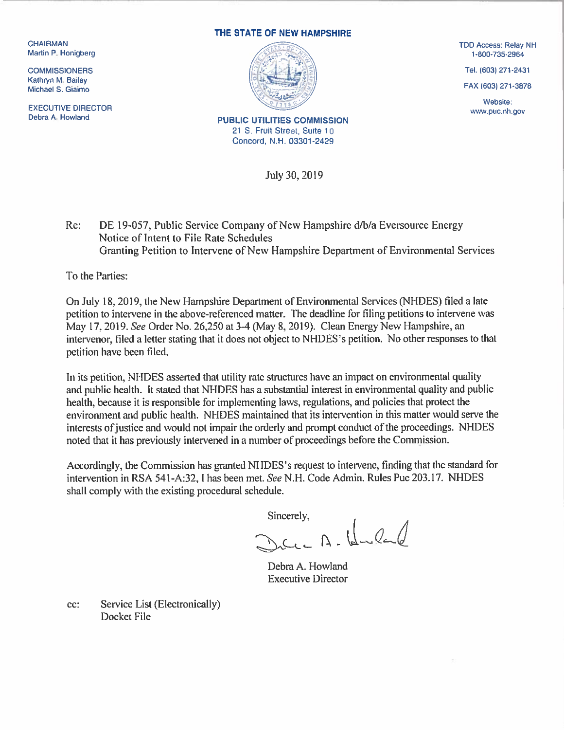Kathryn M. Bailey

EXECUTIVE DIRECTOR Website:<br>
Debra A. Howland With the COMMISSION Debra A. Howland With the COMMISSION Debra A. Howland With the COMMISSION

## THE STATE OF NEW HAMPSHIRE



21 S. Fruit Street, Suite 10 Concord, N.H. 03301 -2429

July 30, 2019

Re: DE 19-057, Public Service Company of New Hampshire d/b/a Eversource Energy Notice of Intent to File Rate Schedules Granting Petition to Intervene of New Hampshire Department of Environmental Services

To the Parties:

On July 18, 2019, the New Hampshire Department of Environmental Services (NI-IDES) tiled a late petition to intervene in the above-referenced matter. The deadline for filing petitions to intervene was May 17. 2019. See Order No. 26.250 at 3-4 (May 8, 2019). Clean Energy New Hampshire, an intervenor, filed a letter stating that it does not object to NHDES's petition. No other responses to that petition have been filed.

In its petition, NHDES asserted that utility rate structures have an impact on environmental quality and public health. It stated that NHDES has a substantial interest in environmental quality and public health, because it is responsible for implementing laws, regulations, and policies that protect the environment and public health. NHDES maintained that its intervention in this matter would serve the interests of justice and would not impair the orderly and prompt conduct of the proceedings. NHDES noted that it has previously intervened in a number of proceedings before the Commission.

Accordingly, the Commission has granted NHDES's request to intervene, finding that the standard for intervention in RSA 541-A:32, I has been met. See N.H. Code Admin. Rules Puc 203.17. NHDES shall comply with the existing procedural schedule.

 $Sineerely,$ <br> $N_{c}C_{t} = N - I_{c}C_{t}C_{t}C_{t}$ 

Debra A. Howland Executive Director

cc: Service List (Electronically) Docket File